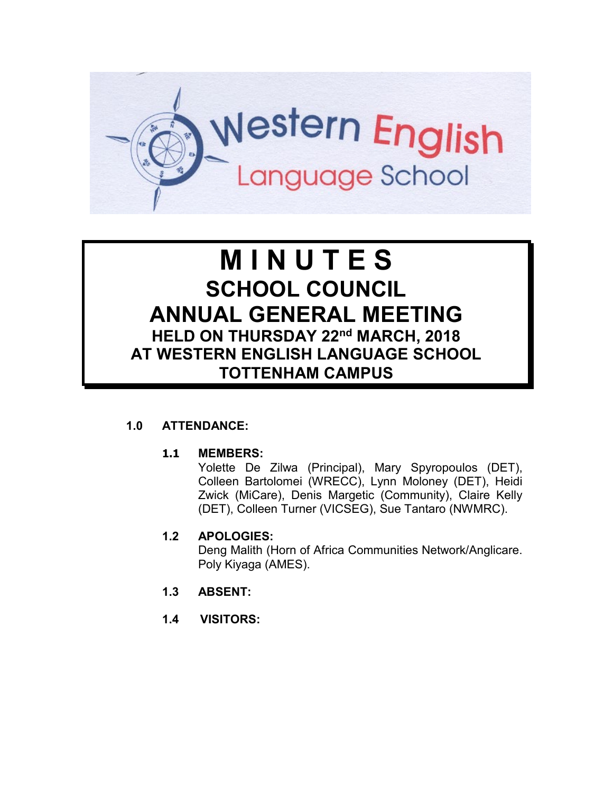

# **M I N U T E S SCHOOL COUNCIL ANNUAL GENERAL MEETING HELD ON THURSDAY 22nd MARCH, 2018 AT WESTERN ENGLISH LANGUAGE SCHOOL TOTTENHAM CAMPUS**

# **1.0 ATTENDANCE:**

#### **1.1 MEMBERS:**

Yolette De Zilwa (Principal), Mary Spyropoulos (DET), Colleen Bartolomei (WRECC), Lynn Moloney (DET), Heidi Zwick (MiCare), Denis Margetic (Community), Claire Kelly (DET), Colleen Turner (VICSEG), Sue Tantaro (NWMRC).

#### **1.2 APOLOGIES:**

Deng Malith (Horn of Africa Communities Network/Anglicare. Poly Kiyaga (AMES).

- **1.3 ABSENT:**
- **1.4 VISITORS:**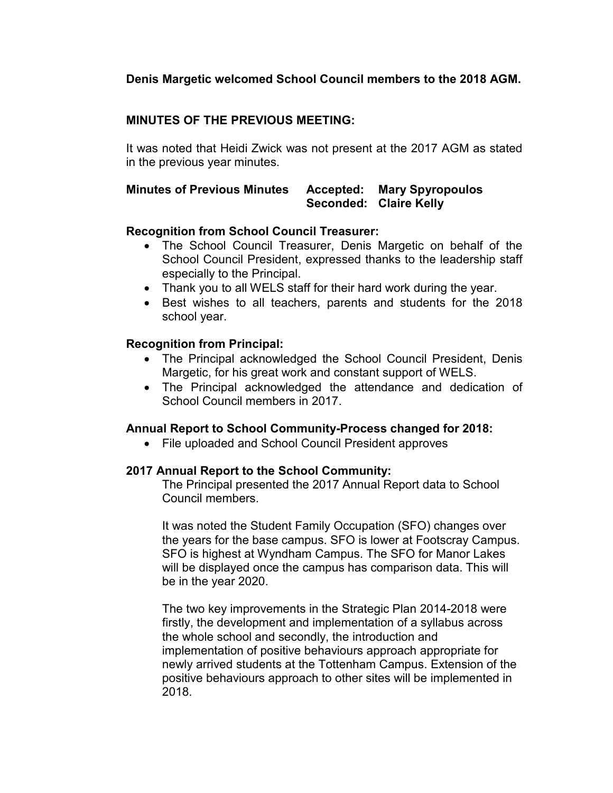## **Denis Margetic welcomed School Council members to the 2018 AGM.**

# **MINUTES OF THE PREVIOUS MEETING:**

It was noted that Heidi Zwick was not present at the 2017 AGM as stated in the previous year minutes.

#### **Minutes of Previous Minutes Accepted: Mary Spyropoulos Seconded: Claire Kelly**

#### **Recognition from School Council Treasurer:**

- The School Council Treasurer, Denis Margetic on behalf of the School Council President, expressed thanks to the leadership staff especially to the Principal.
- Thank you to all WELS staff for their hard work during the year.
- Best wishes to all teachers, parents and students for the 2018 school year.

## **Recognition from Principal:**

- The Principal acknowledged the School Council President, Denis Margetic, for his great work and constant support of WELS.
- The Principal acknowledged the attendance and dedication of School Council members in 2017.

#### **Annual Report to School Community-Process changed for 2018:**

• File uploaded and School Council President approves

#### **2017 Annual Report to the School Community:**

The Principal presented the 2017 Annual Report data to School Council members.

It was noted the Student Family Occupation (SFO) changes over the years for the base campus. SFO is lower at Footscray Campus. SFO is highest at Wyndham Campus. The SFO for Manor Lakes will be displayed once the campus has comparison data. This will be in the year 2020.

The two key improvements in the Strategic Plan 2014-2018 were firstly, the development and implementation of a syllabus across the whole school and secondly, the introduction and implementation of positive behaviours approach appropriate for newly arrived students at the Tottenham Campus. Extension of the positive behaviours approach to other sites will be implemented in 2018.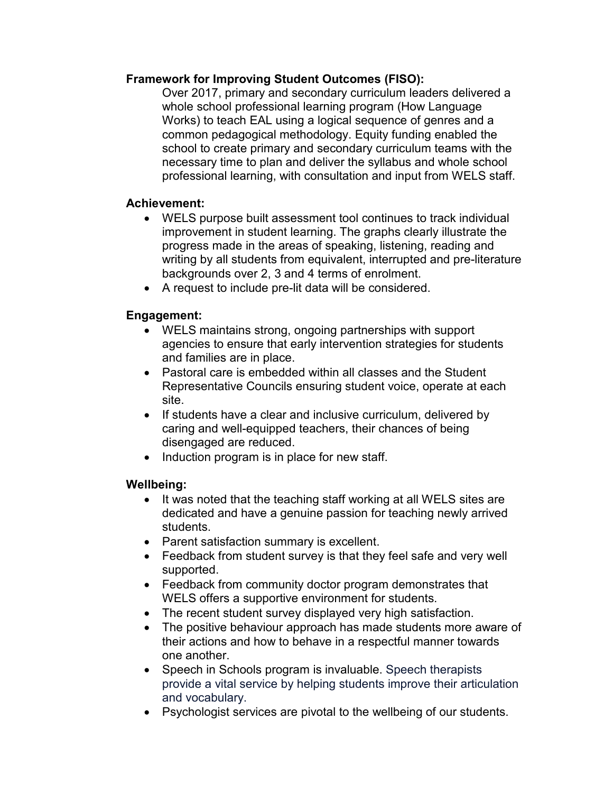## **Framework for Improving Student Outcomes (FISO):**

Over 2017, primary and secondary curriculum leaders delivered a whole school professional learning program (How Language Works) to teach EAL using a logical sequence of genres and a common pedagogical methodology. Equity funding enabled the school to create primary and secondary curriculum teams with the necessary time to plan and deliver the syllabus and whole school professional learning, with consultation and input from WELS staff.

# **Achievement:**

- WELS purpose built assessment tool continues to track individual improvement in student learning. The graphs clearly illustrate the progress made in the areas of speaking, listening, reading and writing by all students from equivalent, interrupted and pre-literature backgrounds over 2, 3 and 4 terms of enrolment.
- A request to include pre-lit data will be considered.

# **Engagement:**

- WELS maintains strong, ongoing partnerships with support agencies to ensure that early intervention strategies for students and families are in place.
- Pastoral care is embedded within all classes and the Student Representative Councils ensuring student voice, operate at each site.
- If students have a clear and inclusive curriculum, delivered by caring and well-equipped teachers, their chances of being disengaged are reduced.
- Induction program is in place for new staff.

# **Wellbeing:**

- It was noted that the teaching staff working at all WELS sites are dedicated and have a genuine passion for teaching newly arrived students.
- Parent satisfaction summary is excellent.
- Feedback from student survey is that they feel safe and very well supported.
- Feedback from community doctor program demonstrates that WELS offers a supportive environment for students.
- The recent student survey displayed very high satisfaction.
- The positive behaviour approach has made students more aware of their actions and how to behave in a respectful manner towards one another.
- Speech in Schools program is invaluable. Speech therapists provide a vital service by helping students improve their articulation and vocabulary.
- Psychologist services are pivotal to the wellbeing of our students.